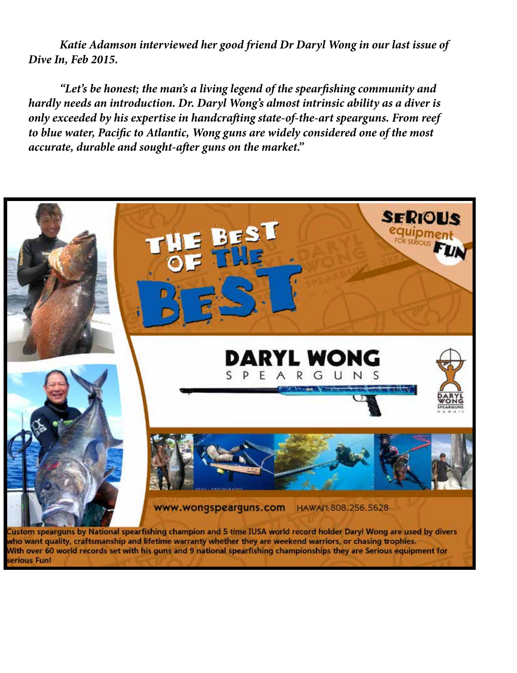*Katie Adamson interviewed her good friend Dr Daryl Wong in our last issue of Dive In, Feb 2015.*

*"Let's be honest; the man's a living legend of the spearfishing community and hardly needs an introduction. Dr. Daryl Wong's almost intrinsic ability as a diver is only exceeded by his expertise in handcrafting state-of-the-art spearguns. From reef to blue water, Pacific to Atlantic, Wong guns are widely considered one of the most accurate, durable and sought-after guns on the market."*

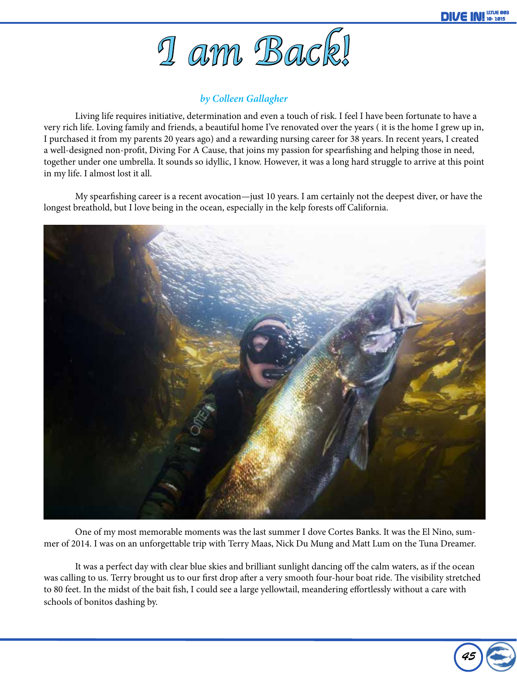*45*

 *I am Back!*

## *by Colleen Gallagher*

Living life requires initiative, determination and even a touch of risk. I feel I have been fortunate to have a very rich life. Loving family and friends, a beautiful home I've renovated over the years ( it is the home I grew up in, I purchased it from my parents 20 years ago) and a rewarding nursing career for 38 years. In recent years, I created a well-designed non-profit, Diving For A Cause, that joins my passion for spearfishing and helping those in need, together under one umbrella. It sounds so idyllic, I know. However, it was a long hard struggle to arrive at this point in my life. I almost lost it all.

My spearfishing career is a recent avocation—just 10 years. I am certainly not the deepest diver, or have the longest breathold, but I love being in the ocean, especially in the kelp forests off California.



One of my most memorable moments was the last summer I dove Cortes Banks. It was the El Nino, summer of 2014. I was on an unforgettable trip with Terry Maas, Nick Du Mung and Matt Lum on the Tuna Dreamer.

It was a perfect day with clear blue skies and brilliant sunlight dancing off the calm waters, as if the ocean was calling to us. Terry brought us to our first drop after a very smooth four-hour boat ride. The visibility stretched to 80 feet. In the midst of the bait fish, I could see a large yellowtail, meandering effortlessly without a care with schools of bonitos dashing by.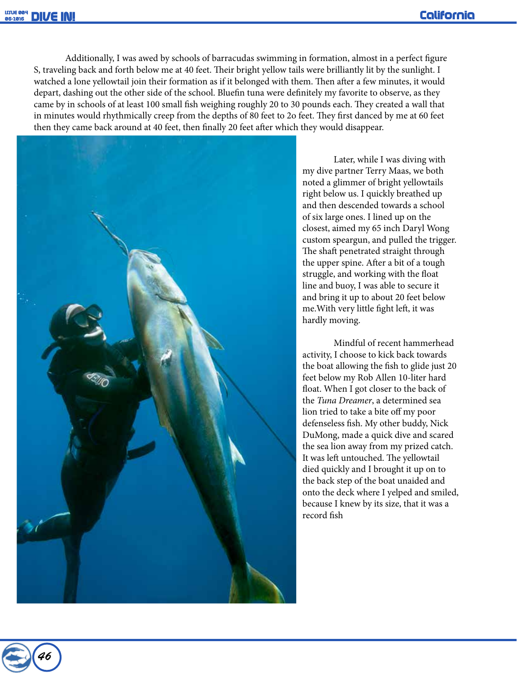Additionally, I was awed by schools of barracudas swimming in formation, almost in a perfect figure S, traveling back and forth below me at 40 feet. Their bright yellow tails were brilliantly lit by the sunlight. I watched a lone yellowtail join their formation as if it belonged with them. Then after a few minutes, it would depart, dashing out the other side of the school. Bluefin tuna were definitely my favorite to observe, as they came by in schools of at least 100 small fish weighing roughly 20 to 30 pounds each. They created a wall that in minutes would rhythmically creep from the depths of 80 feet to 2o feet. They first danced by me at 60 feet then they came back around at 40 feet, then finally 20 feet after which they would disappear.



Later, while I was diving with my dive partner Terry Maas, we both noted a glimmer of bright yellowtails right below us. I quickly breathed up and then descended towards a school of six large ones. I lined up on the closest, aimed my 65 inch Daryl Wong custom speargun, and pulled the trigger. The shaft penetrated straight through the upper spine. After a bit of a tough struggle, and working with the float line and buoy, I was able to secure it and bring it up to about 20 feet below me.With very little fight left, it was hardly moving.

Mindful of recent hammerhead activity, I choose to kick back towards the boat allowing the fish to glide just 20 feet below my Rob Allen 10-liter hard float. When I got closer to the back of the *Tuna Dreamer*, a determined sea lion tried to take a bite off my poor defenseless fish. My other buddy, Nick DuMong, made a quick dive and scared the sea lion away from my prized catch. It was left untouched. The yellowtail died quickly and I brought it up on to the back step of the boat unaided and onto the deck where I yelped and smiled, because I knew by its size, that it was a record fish

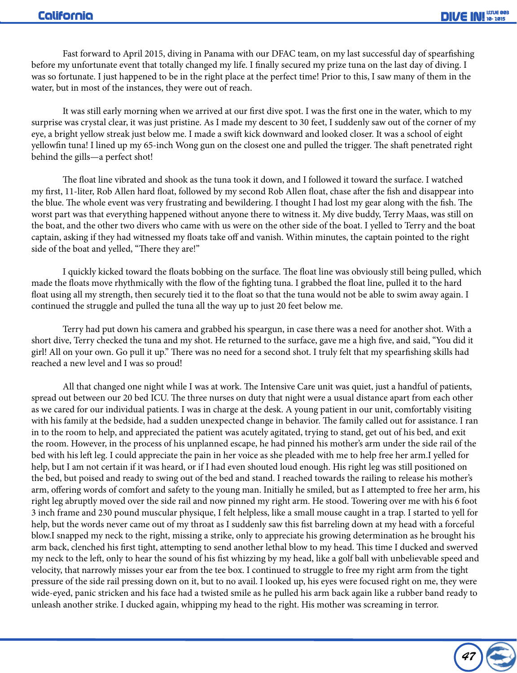*47*

Fast forward to April 2015, diving in Panama with our DFAC team, on my last successful day of spearfishing before my unfortunate event that totally changed my life. I finally secured my prize tuna on the last day of diving. I was so fortunate. I just happened to be in the right place at the perfect time! Prior to this, I saw many of them in the water, but in most of the instances, they were out of reach.

It was still early morning when we arrived at our first dive spot. I was the first one in the water, which to my surprise was crystal clear, it was just pristine. As I made my descent to 30 feet, I suddenly saw out of the corner of my eye, a bright yellow streak just below me. I made a swift kick downward and looked closer. It was a school of eight yellowfin tuna! I lined up my 65-inch Wong gun on the closest one and pulled the trigger. The shaft penetrated right behind the gills—a perfect shot!

The float line vibrated and shook as the tuna took it down, and I followed it toward the surface. I watched my first, 11-liter, Rob Allen hard float, followed by my second Rob Allen float, chase after the fish and disappear into the blue. The whole event was very frustrating and bewildering. I thought I had lost my gear along with the fish. The worst part was that everything happened without anyone there to witness it. My dive buddy, Terry Maas, was still on the boat, and the other two divers who came with us were on the other side of the boat. I yelled to Terry and the boat captain, asking if they had witnessed my floats take off and vanish. Within minutes, the captain pointed to the right side of the boat and yelled, "There they are!"

I quickly kicked toward the floats bobbing on the surface. The float line was obviously still being pulled, which made the floats move rhythmically with the flow of the fighting tuna. I grabbed the float line, pulled it to the hard float using all my strength, then securely tied it to the float so that the tuna would not be able to swim away again. I continued the struggle and pulled the tuna all the way up to just 20 feet below me.

Terry had put down his camera and grabbed his speargun, in case there was a need for another shot. With a short dive, Terry checked the tuna and my shot. He returned to the surface, gave me a high five, and said, "You did it girl! All on your own. Go pull it up." There was no need for a second shot. I truly felt that my spearfishing skills had reached a new level and I was so proud!

All that changed one night while I was at work. The Intensive Care unit was quiet, just a handful of patients, spread out between our 20 bed ICU. The three nurses on duty that night were a usual distance apart from each other as we cared for our individual patients. I was in charge at the desk. A young patient in our unit, comfortably visiting with his family at the bedside, had a sudden unexpected change in behavior. The family called out for assistance. I ran in to the room to help, and appreciated the patient was acutely agitated, trying to stand, get out of his bed, and exit the room. However, in the process of his unplanned escape, he had pinned his mother's arm under the side rail of the bed with his left leg. I could appreciate the pain in her voice as she pleaded with me to help free her arm.I yelled for help, but I am not certain if it was heard, or if I had even shouted loud enough. His right leg was still positioned on the bed, but poised and ready to swing out of the bed and stand. I reached towards the railing to release his mother's arm, offering words of comfort and safety to the young man. Initially he smiled, but as I attempted to free her arm, his right leg abruptly moved over the side rail and now pinned my right arm. He stood. Towering over me with his 6 foot 3 inch frame and 230 pound muscular physique, I felt helpless, like a small mouse caught in a trap. I started to yell for help, but the words never came out of my throat as I suddenly saw this fist barreling down at my head with a forceful blow.I snapped my neck to the right, missing a strike, only to appreciate his growing determination as he brought his arm back, clenched his first tight, attempting to send another lethal blow to my head. This time I ducked and swerved my neck to the left, only to hear the sound of his fist whizzing by my head, like a golf ball with unbelievable speed and velocity, that narrowly misses your ear from the tee box. I continued to struggle to free my right arm from the tight pressure of the side rail pressing down on it, but to no avail. I looked up, his eyes were focused right on me, they were wide-eyed, panic stricken and his face had a twisted smile as he pulled his arm back again like a rubber band ready to unleash another strike. I ducked again, whipping my head to the right. His mother was screaming in terror.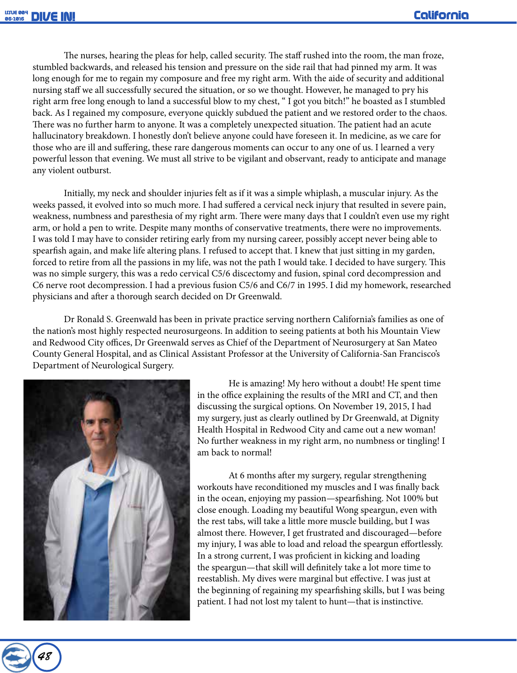The nurses, hearing the pleas for help, called security. The staff rushed into the room, the man froze, stumbled backwards, and released his tension and pressure on the side rail that had pinned my arm. It was long enough for me to regain my composure and free my right arm. With the aide of security and additional nursing staff we all successfully secured the situation, or so we thought. However, he managed to pry his right arm free long enough to land a successful blow to my chest, " I got you bitch!" he boasted as I stumbled back. As I regained my composure, everyone quickly subdued the patient and we restored order to the chaos. There was no further harm to anyone. It was a completely unexpected situation. The patient had an acute hallucinatory breakdown. I honestly don't believe anyone could have foreseen it. In medicine, as we care for those who are ill and suffering, these rare dangerous moments can occur to any one of us. I learned a very powerful lesson that evening. We must all strive to be vigilant and observant, ready to anticipate and manage any violent outburst.

Initially, my neck and shoulder injuries felt as if it was a simple whiplash, a muscular injury. As the weeks passed, it evolved into so much more. I had suffered a cervical neck injury that resulted in severe pain, weakness, numbness and paresthesia of my right arm. There were many days that I couldn't even use my right arm, or hold a pen to write. Despite many months of conservative treatments, there were no improvements. I was told I may have to consider retiring early from my nursing career, possibly accept never being able to spearfish again, and make life altering plans. I refused to accept that. I knew that just sitting in my garden, forced to retire from all the passions in my life, was not the path I would take. I decided to have surgery. This was no simple surgery, this was a redo cervical C5/6 discectomy and fusion, spinal cord decompression and C6 nerve root decompression. I had a previous fusion C5/6 and C6/7 in 1995. I did my homework, researched physicians and after a thorough search decided on Dr Greenwald.

Dr Ronald S. Greenwald has been in private practice serving northern California's families as one of the nation's most highly respected neurosurgeons. In addition to seeing patients at both his Mountain View and Redwood City offices, Dr Greenwald serves as Chief of the Department of Neurosurgery at San Mateo County General Hospital, and as Clinical Assistant Professor at the University of California-San Francisco's Department of Neurological Surgery.



*48*

 He is amazing! My hero without a doubt! He spent time in the office explaining the results of the MRI and CT, and then discussing the surgical options. On November 19, 2015, I had my surgery, just as clearly outlined by Dr Greenwald, at Dignity Health Hospital in Redwood City and came out a new woman! No further weakness in my right arm, no numbness or tingling! I am back to normal!

At 6 months after my surgery, regular strengthening workouts have reconditioned my muscles and I was finally back in the ocean, enjoying my passion—spearfishing. Not 100% but close enough. Loading my beautiful Wong speargun, even with the rest tabs, will take a little more muscle building, but I was almost there. However, I get frustrated and discouraged—before my injury, I was able to load and reload the speargun effortlessly. In a strong current, I was proficient in kicking and loading the speargun—that skill will definitely take a lot more time to reestablish. My dives were marginal but effective. I was just at the beginning of regaining my spearfishing skills, but I was being patient. I had not lost my talent to hunt—that is instinctive.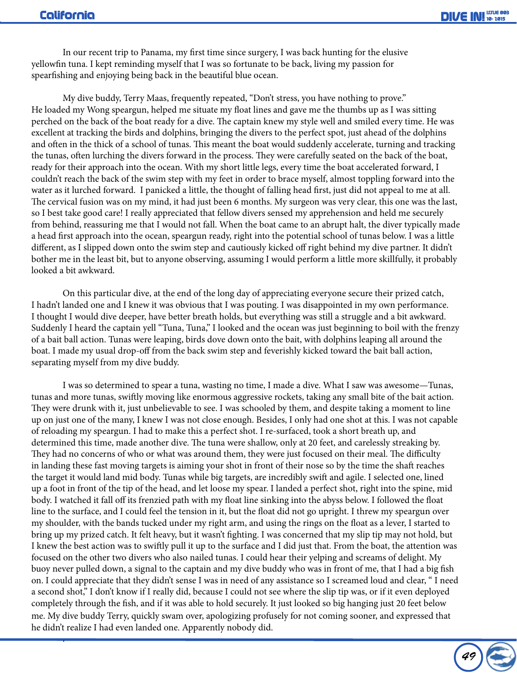.

*49*

In our recent trip to Panama, my first time since surgery, I was back hunting for the elusive yellowfin tuna. I kept reminding myself that I was so fortunate to be back, living my passion for spearfishing and enjoying being back in the beautiful blue ocean.

My dive buddy, Terry Maas, frequently repeated, "Don't stress, you have nothing to prove." He loaded my Wong speargun, helped me situate my float lines and gave me the thumbs up as I was sitting perched on the back of the boat ready for a dive. The captain knew my style well and smiled every time. He was excellent at tracking the birds and dolphins, bringing the divers to the perfect spot, just ahead of the dolphins and often in the thick of a school of tunas. This meant the boat would suddenly accelerate, turning and tracking the tunas, often lurching the divers forward in the process. They were carefully seated on the back of the boat, ready for their approach into the ocean. With my short little legs, every time the boat accelerated forward, I couldn't reach the back of the swim step with my feet in order to brace myself, almost toppling forward into the water as it lurched forward. I panicked a little, the thought of falling head first, just did not appeal to me at all. The cervical fusion was on my mind, it had just been 6 months. My surgeon was very clear, this one was the last, so I best take good care! I really appreciated that fellow divers sensed my apprehension and held me securely from behind, reassuring me that I would not fall. When the boat came to an abrupt halt, the diver typically made a head first approach into the ocean, speargun ready, right into the potential school of tunas below. I was a little different, as I slipped down onto the swim step and cautiously kicked off right behind my dive partner. It didn't bother me in the least bit, but to anyone observing, assuming I would perform a little more skillfully, it probably looked a bit awkward.

On this particular dive, at the end of the long day of appreciating everyone secure their prized catch, I hadn't landed one and I knew it was obvious that I was pouting. I was disappointed in my own performance. I thought I would dive deeper, have better breath holds, but everything was still a struggle and a bit awkward. Suddenly I heard the captain yell "Tuna, Tuna," I looked and the ocean was just beginning to boil with the frenzy of a bait ball action. Tunas were leaping, birds dove down onto the bait, with dolphins leaping all around the boat. I made my usual drop-off from the back swim step and feverishly kicked toward the bait ball action, separating myself from my dive buddy.

I was so determined to spear a tuna, wasting no time, I made a dive. What I saw was awesome—Tunas, tunas and more tunas, swiftly moving like enormous aggressive rockets, taking any small bite of the bait action. They were drunk with it, just unbelievable to see. I was schooled by them, and despite taking a moment to line up on just one of the many, I knew I was not close enough. Besides, I only had one shot at this. I was not capable of reloading my speargun. I had to make this a perfect shot. I re-surfaced, took a short breath up, and determined this time, made another dive. The tuna were shallow, only at 20 feet, and carelessly streaking by. They had no concerns of who or what was around them, they were just focused on their meal. The difficulty in landing these fast moving targets is aiming your shot in front of their nose so by the time the shaft reaches the target it would land mid body. Tunas while big targets, are incredibly swift and agile. I selected one, lined up a foot in front of the tip of the head, and let loose my spear. I landed a perfect shot, right into the spine, mid body. I watched it fall off its frenzied path with my float line sinking into the abyss below. I followed the float line to the surface, and I could feel the tension in it, but the float did not go upright. I threw my speargun over my shoulder, with the bands tucked under my right arm, and using the rings on the float as a lever, I started to bring up my prized catch. It felt heavy, but it wasn't fighting. I was concerned that my slip tip may not hold, but I knew the best action was to swiftly pull it up to the surface and I did just that. From the boat, the attention was focused on the other two divers who also nailed tunas. I could hear their yelping and screams of delight. My buoy never pulled down, a signal to the captain and my dive buddy who was in front of me, that I had a big fish on. I could appreciate that they didn't sense I was in need of any assistance so I screamed loud and clear, " I need a second shot," I don't know if I really did, because I could not see where the slip tip was, or if it even deployed completely through the fish, and if it was able to hold securely. It just looked so big hanging just 20 feet below me. My dive buddy Terry, quickly swam over, apologizing profusely for not coming sooner, and expressed that he didn't realize I had even landed one. Apparently nobody did.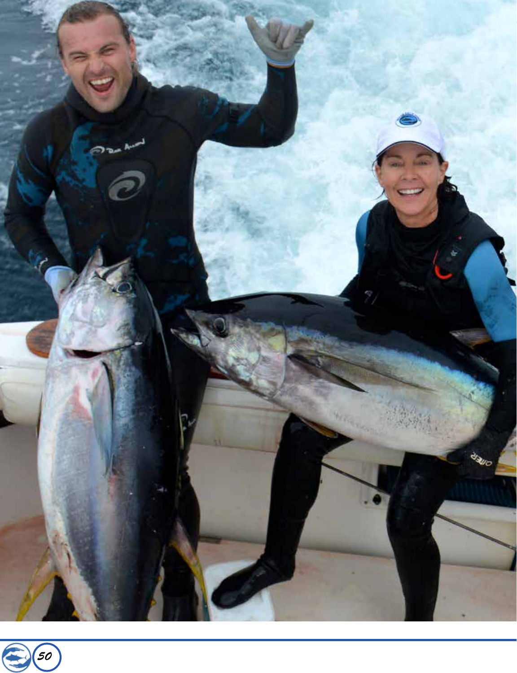